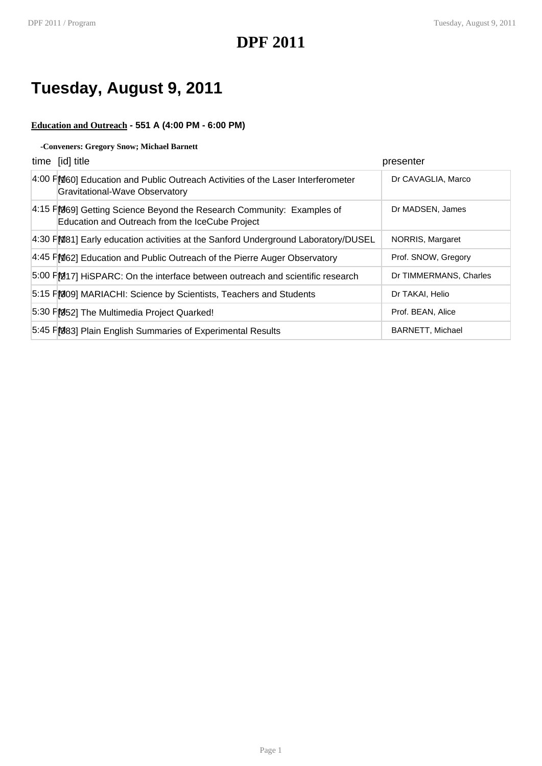## **Tuesday, August 9, 2011**

### **Education and Outreach - 551 A (4:00 PM - 6:00 PM)**

### **-Conveners: Gregory Snow; Michael Barnett**

| time [id] title                                                                                                          | presenter               |
|--------------------------------------------------------------------------------------------------------------------------|-------------------------|
| 4:00 FM60] Education and Public Outreach Activities of the Laser Interferometer<br>Gravitational-Wave Observatory        | Dr CAVAGLIA, Marco      |
| 4:15 FM69] Getting Science Beyond the Research Community: Examples of<br>Education and Outreach from the IceCube Project | Dr MADSEN, James        |
| 4:30 FM81] Early education activities at the Sanford Underground Laboratory/DUSEL                                        | NORRIS, Margaret        |
| 4:45 FM62] Education and Public Outreach of the Pierre Auger Observatory                                                 | Prof. SNOW, Gregory     |
| 5:00 F)217] HiSPARC: On the interface between outreach and scientific research                                           | Dr TIMMERMANS, Charles  |
| 5:15 FM09] MARIACHI: Science by Scientists, Teachers and Students                                                        | Dr TAKAI, Helio         |
| 5:30 FM52] The Multimedia Project Quarked!                                                                               | Prof. BEAN, Alice       |
| 5:45 FM83] Plain English Summaries of Experimental Results                                                               | <b>BARNETT, Michael</b> |